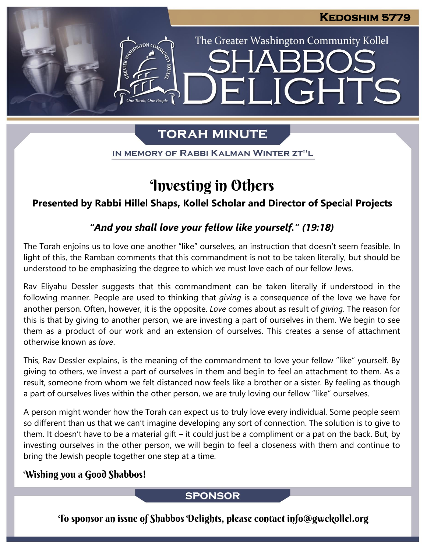The Greater Washington Community Kollel

ELIGHTS

# **TORAH MINUTE**

IN MEMORY OF RABBI KALMAN WINTER ZT"L

# Investing in Others

**Presented by Rabbi Hillel Shaps, Kollel Scholar and Director of Special Projects**

## *"And you shall love your fellow like yourself." (19:18)*

The Torah enjoins us to love one another "like" ourselves, an instruction that doesn't seem feasible. In light of this, the Ramban comments that this commandment is not to be taken literally, but should be understood to be emphasizing the degree to which we must love each of our fellow Jews.

Rav Eliyahu Dessler suggests that this commandment can be taken literally if understood in the following manner. People are used to thinking that *giving* is a consequence of the love we have for another person. Often, however, it is the opposite. *Love* comes about as result of *giving*. The reason for this is that by giving to another person, we are investing a part of ourselves in them. We begin to see them as a product of our work and an extension of ourselves. This creates a sense of attachment otherwise known as *love*.

This, Rav Dessler explains, is the meaning of the commandment to love your fellow "like" yourself. By giving to others, we invest a part of ourselves in them and begin to feel an attachment to them. As a result, someone from whom we felt distanced now feels like a brother or a sister. By feeling as though a part of ourselves lives within the other person, we are truly loving our fellow "like" ourselves.

A person might wonder how the Torah can expect us to truly love every individual. Some people seem so different than us that we can't imagine developing any sort of connection. The solution is to give to them. It doesn't have to be a material gift – it could just be a compliment or a pat on the back. But, by investing ourselves in the other person, we will begin to feel a closeness with them and continue to bring the Jewish people together one step at a time.

### Wishing you a Good Shabbos!

#### **SPONSOR**

To sponsor an issue of Shabbos Delights, please contact info@gwckollel.org